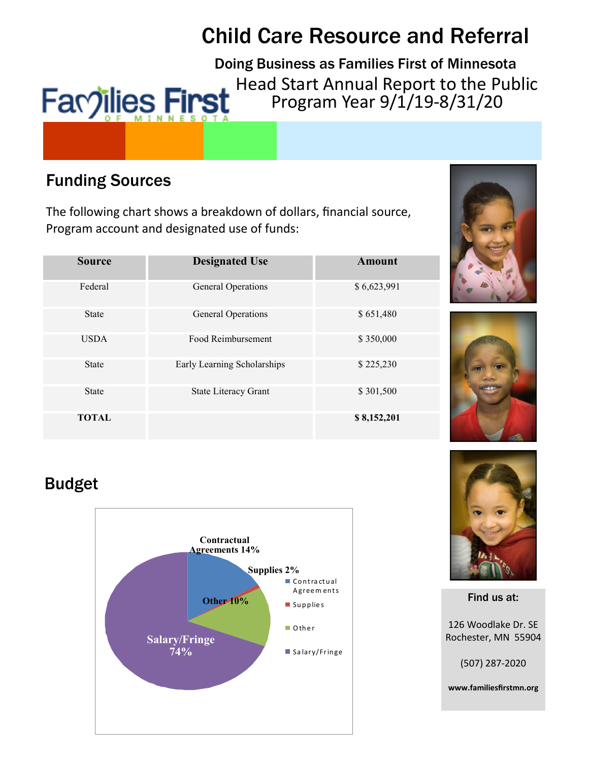# Child Care Resource and Referral

Doing Business as Families First of Minnesota Head Start Annual Report to the Public **Facoilies First** Program Year 9/1/19-8/31/20

# Funding Sources

The following chart shows a breakdown of dollars, financial source, Program account and designated use of funds:

| <b>Source</b> | <b>Designated Use</b>       | Amount      |
|---------------|-----------------------------|-------------|
| Federal       | <b>General Operations</b>   | \$6,623,991 |
| <b>State</b>  | <b>General Operations</b>   | \$651,480   |
| <b>USDA</b>   | Food Reimbursement          | \$350,000   |
| <b>State</b>  | Early Learning Scholarships | \$225,230   |
| <b>State</b>  | State Literacy Grant        | \$301,500   |
| <b>TOTAL</b>  |                             | \$8,152,201 |





# Budget





Find us at:

126 Woodlake Dr. SE Rochester, MN 55904

(507) 287-2020

www.familiesfirstmn.org